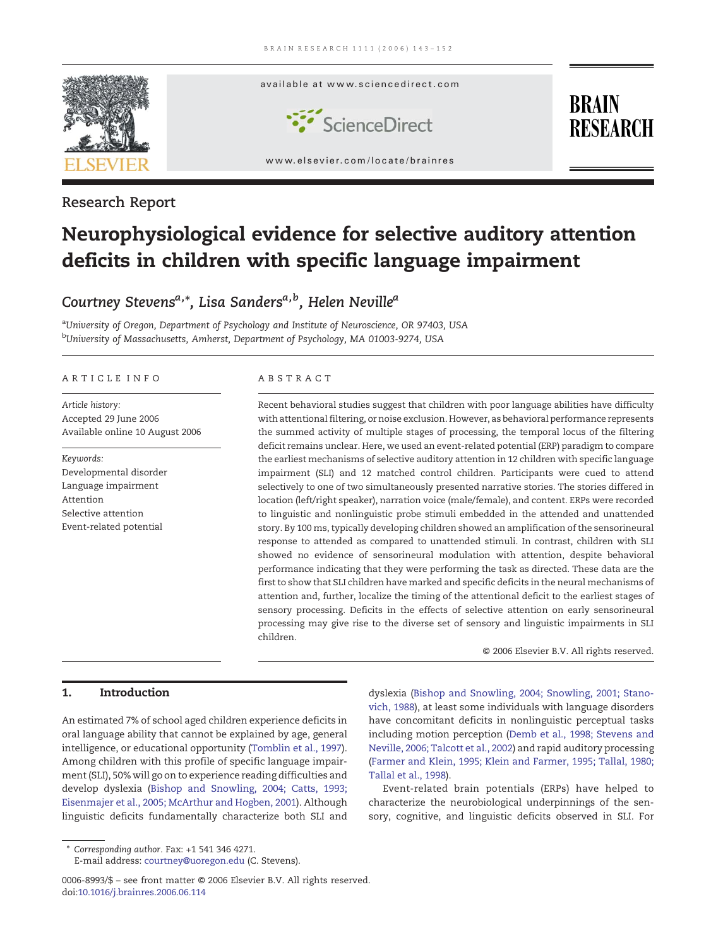

## Research Report

# Neurophysiological evidence for selective auditory attention deficits in children with specific language impairment

Courtney Stevens<sup>a,\*</sup>, Lisa Sanders<sup>a,b</sup>, Helen Neville<sup>a</sup>

<sup>a</sup>University of Oregon, Department of Psychology and Institute of Neuroscience, OR 97403, USA <sup>b</sup>University of Massachusetts, Amherst, Department of Psychology, MA 01003-9274, USA

#### ARTICLE INFO ABSTRACT

Article history: Accepted 29 June 2006 Available online 10 August 2006

Keywords: Developmental disorder Language impairment Attention Selective attention Event-related potential

Recent behavioral studies suggest that children with poor language abilities have difficulty with attentional filtering, or noise exclusion. However, as behavioral performance represents the summed activity of multiple stages of processing, the temporal locus of the filtering deficit remains unclear. Here, we used an event-related potential (ERP) paradigm to compare the earliest mechanisms of selective auditory attention in 12 children with specific language impairment (SLI) and 12 matched control children. Participants were cued to attend selectively to one of two simultaneously presented narrative stories. The stories differed in location (left/right speaker), narration voice (male/female), and content. ERPs were recorded to linguistic and nonlinguistic probe stimuli embedded in the attended and unattended story. By 100 ms, typically developing children showed an amplification of the sensorineural response to attended as compared to unattended stimuli. In contrast, children with SLI showed no evidence of sensorineural modulation with attention, despite behavioral performance indicating that they were performing the task as directed. These data are the first to show that SLI children have marked and specific deficits in the neural mechanisms of attention and, further, localize the timing of the attentional deficit to the earliest stages of sensory processing. Deficits in the effects of selective attention on early sensorineural processing may give rise to the diverse set of sensory and linguistic impairments in SLI children.

© 2006 Elsevier B.V. All rights reserved.

### 1. Introduction

An estimated 7% of school aged children experience deficits in oral language ability that cannot be explained by age, general intelligence, or educational opportunity ([Tomblin et al., 1997](#page-9-0)). Among children with this profile of specific language impairment (SLI), 50% will go on to experience reading difficulties and develop dyslexia [\(Bishop and Snowling, 2004; Catts, 1993;](#page-8-0) [Eisenmajer et al., 2005; McArthur and Hogben, 2001](#page-8-0)). Although linguistic deficits fundamentally characterize both SLI and

⁎ Corresponding author. Fax: +1 541 346 4271.

dyslexia ([Bishop and Snowling, 2004; Snowling, 2001; Stano](#page-8-0)[vich, 1988](#page-8-0)), at least some individuals with language disorders have concomitant deficits in nonlinguistic perceptual tasks including motion perception ([Demb et al., 1998; Stevens and](#page-8-0) [Neville, 2006; Talcott et al., 2002\)](#page-8-0) and rapid auditory processing [\(Farmer and Klein, 1995; Klein and Farmer, 1995; Tallal, 1980;](#page-8-0) [Tallal et al., 1998\)](#page-8-0).

Event-related brain potentials (ERPs) have helped to characterize the neurobiological underpinnings of the sensory, cognitive, and linguistic deficits observed in SLI. For

E-mail address: [courtney@uoregon.edu](mailto:courtney@uoregon.edu) (C. Stevens).

<sup>0006-8993/\$</sup> – see front matter © 2006 Elsevier B.V. All rights reserved. doi[:10.1016/j.brainres.2006.06.114](http://dx.doi.org/10.1016/j.brainres.2006.06.114)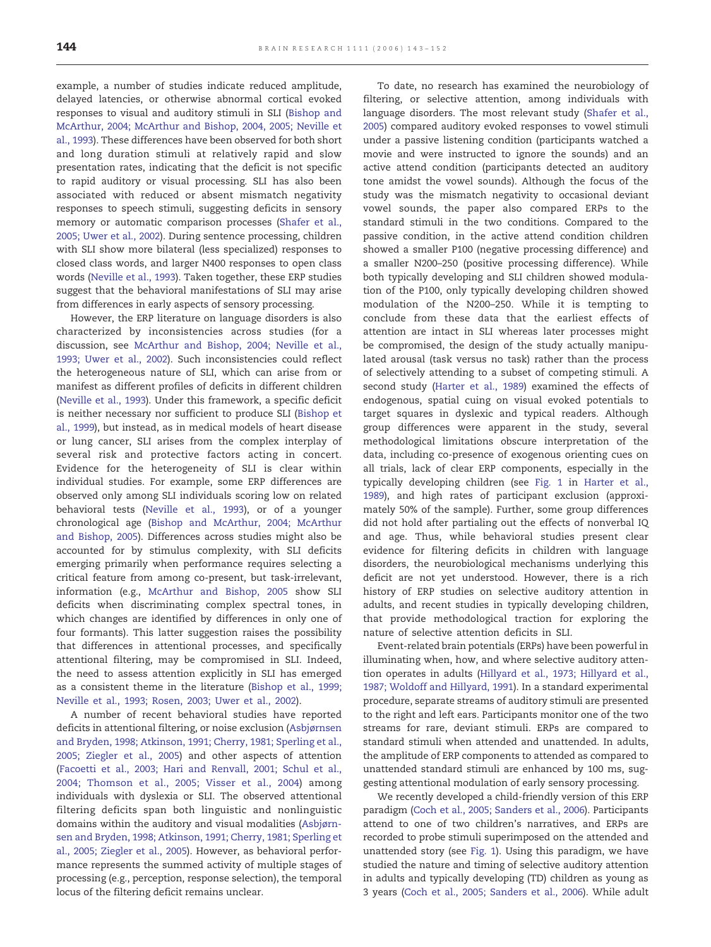example, a number of studies indicate reduced amplitude, delayed latencies, or otherwise abnormal cortical evoked responses to visual and auditory stimuli in SLI ([Bishop and](#page-8-0) [McArthur, 2004; McArthur and Bishop, 2004, 2005; Neville et](#page-8-0) [al., 1993](#page-8-0)). These differences have been observed for both short and long duration stimuli at relatively rapid and slow presentation rates, indicating that the deficit is not specific to rapid auditory or visual processing. SLI has also been associated with reduced or absent mismatch negativity responses to speech stimuli, suggesting deficits in sensory memory or automatic comparison processes [\(Shafer et al.,](#page-8-0) [2005; Uwer et al., 2002](#page-8-0)). During sentence processing, children with SLI show more bilateral (less specialized) responses to closed class words, and larger N400 responses to open class words [\(Neville et al., 1993](#page-8-0)). Taken together, these ERP studies suggest that the behavioral manifestations of SLI may arise from differences in early aspects of sensory processing.

However, the ERP literature on language disorders is also characterized by inconsistencies across studies (for a discussion, see [McArthur and Bishop, 2004; Neville et al.,](#page-8-0) [1993; Uwer et al., 2002](#page-8-0)). Such inconsistencies could reflect the heterogeneous nature of SLI, which can arise from or manifest as different profiles of deficits in different children ([Neville et al., 1993](#page-8-0)). Under this framework, a specific deficit is neither necessary nor sufficient to produce SLI [\(Bishop et](#page-8-0) [al., 1999](#page-8-0)), but instead, as in medical models of heart disease or lung cancer, SLI arises from the complex interplay of several risk and protective factors acting in concert. Evidence for the heterogeneity of SLI is clear within individual studies. For example, some ERP differences are observed only among SLI individuals scoring low on related behavioral tests ([Neville et al., 1993](#page-8-0)), or of a younger chronological age ([Bishop and McArthur, 2004; McArthur](#page-8-0) [and Bishop, 2005](#page-8-0)). Differences across studies might also be accounted for by stimulus complexity, with SLI deficits emerging primarily when performance requires selecting a critical feature from among co-present, but task-irrelevant, information (e.g., [McArthur and Bishop, 2005](#page-8-0) show SLI deficits when discriminating complex spectral tones, in which changes are identified by differences in only one of four formants). This latter suggestion raises the possibility that differences in attentional processes, and specifically attentional filtering, may be compromised in SLI. Indeed, the need to assess attention explicitly in SLI has emerged as a consistent theme in the literature ([Bishop et al., 1999;](#page-8-0) [Neville et al., 1993; Rosen, 2003; Uwer et al., 2002](#page-8-0)).

A number of recent behavioral studies have reported deficits in attentional filtering, or noise exclusion [\(Asbjørnsen](#page-8-0) [and Bryden, 1998; Atkinson, 1991; Cherry, 1981; Sperling et al.,](#page-8-0) [2005; Ziegler et al., 2005](#page-8-0)) and other aspects of attention ([Facoetti et al., 2003; Hari and Renvall, 2001; Schul et al.,](#page-8-0) [2004; Thomson et al., 2005; Visser et al., 2004\)](#page-8-0) among individuals with dyslexia or SLI. The observed attentional filtering deficits span both linguistic and nonlinguistic domains within the auditory and visual modalities ([Asbjørn](#page-8-0)[sen and Bryden, 1998; Atkinson, 1991; Cherry, 1981; Sperling et](#page-8-0) [al., 2005; Ziegler et al., 2005\)](#page-8-0). However, as behavioral performance represents the summed activity of multiple stages of processing (e.g., perception, response selection), the temporal locus of the filtering deficit remains unclear.

To date, no research has examined the neurobiology of filtering, or selective attention, among individuals with language disorders. The most relevant study ([Shafer et al.,](#page-8-0) [2005\)](#page-8-0) compared auditory evoked responses to vowel stimuli under a passive listening condition (participants watched a movie and were instructed to ignore the sounds) and an active attend condition (participants detected an auditory tone amidst the vowel sounds). Although the focus of the study was the mismatch negativity to occasional deviant vowel sounds, the paper also compared ERPs to the standard stimuli in the two conditions. Compared to the passive condition, in the active attend condition children showed a smaller P100 (negative processing difference) and a smaller N200–250 (positive processing difference). While both typically developing and SLI children showed modulation of the P100, only typically developing children showed modulation of the N200–250. While it is tempting to conclude from these data that the earliest effects of attention are intact in SLI whereas later processes might be compromised, the design of the study actually manipulated arousal (task versus no task) rather than the process of selectively attending to a subset of competing stimuli. A second study ([Harter et al., 1989\)](#page-8-0) examined the effects of endogenous, spatial cuing on visual evoked potentials to target squares in dyslexic and typical readers. Although group differences were apparent in the study, several methodological limitations obscure interpretation of the data, including co-presence of exogenous orienting cues on all trials, lack of clear ERP components, especially in the typically developing children (see [Fig. 1](#page-2-0) in [Harter et al.,](#page-8-0) [1989\)](#page-8-0), and high rates of participant exclusion (approximately 50% of the sample). Further, some group differences did not hold after partialing out the effects of nonverbal IQ and age. Thus, while behavioral studies present clear evidence for filtering deficits in children with language disorders, the neurobiological mechanisms underlying this deficit are not yet understood. However, there is a rich history of ERP studies on selective auditory attention in adults, and recent studies in typically developing children, that provide methodological traction for exploring the nature of selective attention deficits in SLI.

Event-related brain potentials (ERPs) have been powerful in illuminating when, how, and where selective auditory attention operates in adults [\(Hillyard et al., 1973; Hillyard et al.,](#page-8-0) [1987; Woldoff and Hillyard, 1991](#page-8-0)). In a standard experimental procedure, separate streams of auditory stimuli are presented to the right and left ears. Participants monitor one of the two streams for rare, deviant stimuli. ERPs are compared to standard stimuli when attended and unattended. In adults, the amplitude of ERP components to attended as compared to unattended standard stimuli are enhanced by 100 ms, suggesting attentional modulation of early sensory processing.

We recently developed a child-friendly version of this ERP paradigm ([Coch et al., 2005; Sanders et al., 2006\)](#page-8-0). Participants attend to one of two children's narratives, and ERPs are recorded to probe stimuli superimposed on the attended and unattended story (see [Fig. 1\)](#page-2-0). Using this paradigm, we have studied the nature and timing of selective auditory attention in adults and typically developing (TD) children as young as 3 years ([Coch et al., 2005; Sanders et al., 2006](#page-8-0)). While adult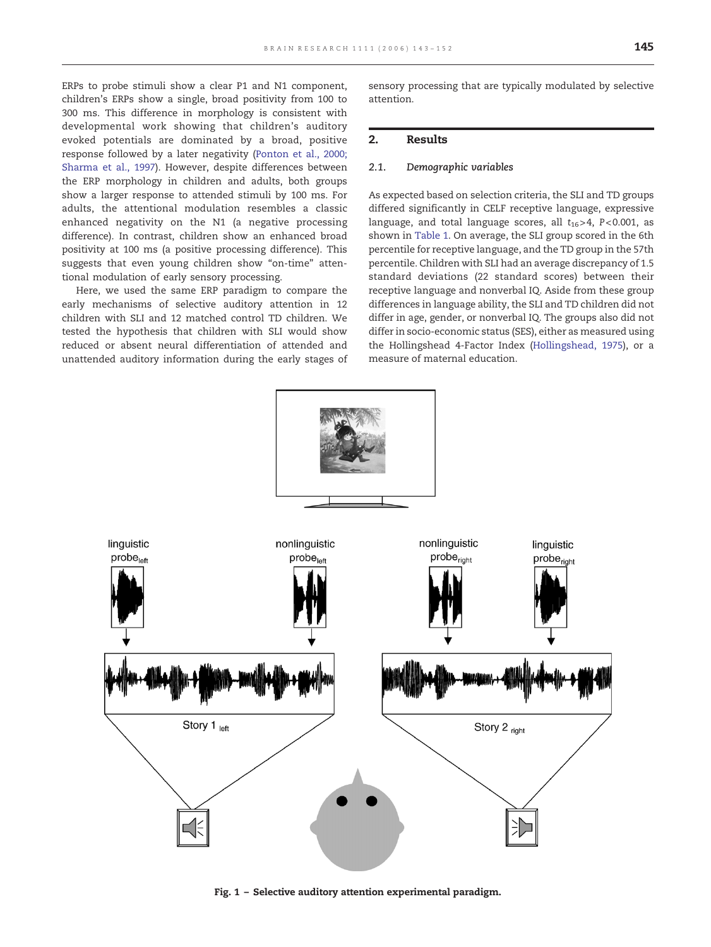<span id="page-2-0"></span>ERPs to probe stimuli show a clear P1 and N1 component, children's ERPs show a single, broad positivity from 100 to 300 ms. This difference in morphology is consistent with developmental work showing that children's auditory evoked potentials are dominated by a broad, positive response followed by a later negativity [\(Ponton et al., 2000;](#page-8-0) [Sharma et al., 1997](#page-8-0)). However, despite differences between the ERP morphology in children and adults, both groups show a larger response to attended stimuli by 100 ms. For adults, the attentional modulation resembles a classic enhanced negativity on the N1 (a negative processing difference). In contrast, children show an enhanced broad positivity at 100 ms (a positive processing difference). This suggests that even young children show "on-time" attentional modulation of early sensory processing.

Here, we used the same ERP paradigm to compare the early mechanisms of selective auditory attention in 12 children with SLI and 12 matched control TD children. We tested the hypothesis that children with SLI would show reduced or absent neural differentiation of attended and unattended auditory information during the early stages of sensory processing that are typically modulated by selective attention.

#### 2. Results

#### 2.1. Demographic variables

As expected based on selection criteria, the SLI and TD groups differed significantly in CELF receptive language, expressive language, and total language scores, all  $t_{16}$  > 4, P < 0.001, as shown in [Table 1.](#page-3-0) On average, the SLI group scored in the 6th percentile for receptive language, and the TD group in the 57th percentile. Children with SLI had an average discrepancy of 1.5 standard deviations (22 standard scores) between their receptive language and nonverbal IQ. Aside from these group differences in language ability, the SLI and TD children did not differ in age, gender, or nonverbal IQ. The groups also did not differ in socio-economic status (SES), either as measured using the Hollingshead 4-Factor Index ([Hollingshead, 1975\)](#page-8-0), or a measure of maternal education.



Fig. 1 – Selective auditory attention experimental paradigm.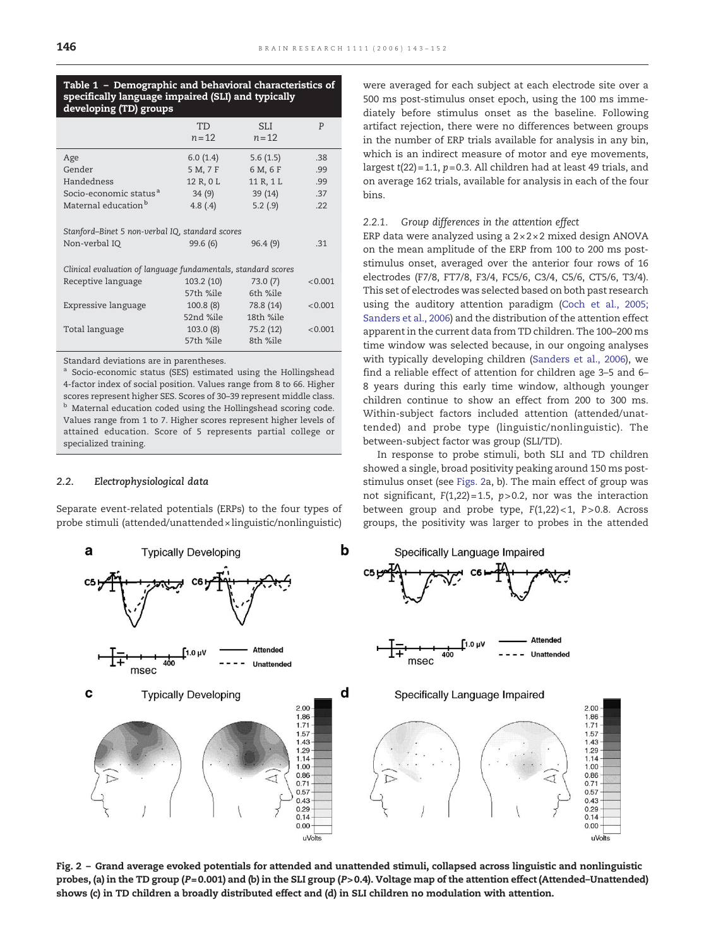#### <span id="page-3-0"></span>Table 1 – Demographic and behavioral characteristics of specifically language impaired (SLI) and typically developing (TD) groups

|                                                                                                                                   | TD<br>$n = 12$         | SLI<br>$n = 12$        | P       |
|-----------------------------------------------------------------------------------------------------------------------------------|------------------------|------------------------|---------|
| Age                                                                                                                               | 6.0(1.4)               | 5.6(1.5)               | .38     |
| Gender                                                                                                                            | 5 M, 7 F               | 6 M, 6 F               | .99     |
| Handedness                                                                                                                        | 12 R, 0 L              | 11 R, 1 L              | .99     |
| Socio-economic status <sup>a</sup>                                                                                                | 34(9)                  | 39(14)                 | .37     |
| Maternal education <sup>b</sup>                                                                                                   | 4.8(4)                 | 5.2(.9)                | .22     |
| Stanford-Binet 5 non-verbal IQ, standard scores<br>Non-verbal IQ<br>Clinical evaluation of language fundamentals, standard scores | 99.6(6)                | 96.4(9)                | .31     |
| Receptive language                                                                                                                | 103.2(10)<br>57th %ile | 73.0(7)<br>6th %ile    | < 0.001 |
| Expressive language                                                                                                               | 100.8(8)<br>52nd %ile  | 78.8 (14)<br>18th %ile | < 0.001 |
| Total language                                                                                                                    | 103.0(8)<br>57th %ile  | 75.2 (12)<br>8th %ile  | < 0.001 |

Standard deviations are in parentheses.

<sup>a</sup> Socio-economic status (SES) estimated using the Hollingshead 4-factor index of social position. Values range from 8 to 66. Higher scores represent higher SES. Scores of 30–39 represent middle class. **b** Maternal education coded using the Hollingshead scoring code. Values range from 1 to 7. Higher scores represent higher levels of attained education. Score of 5 represents partial college or specialized training.

#### 2.2. Electrophysiological data

Separate event-related potentials (ERPs) to the four types of probe stimuli (attended/unattended× linguistic/nonlinguistic)

were averaged for each subject at each electrode site over a 500 ms post-stimulus onset epoch, using the 100 ms immediately before stimulus onset as the baseline. Following artifact rejection, there were no differences between groups in the number of ERP trials available for analysis in any bin, which is an indirect measure of motor and eye movements, largest  $t(22)=1.1$ ,  $p= 0.3$ . All children had at least 49 trials, and on average 162 trials, available for analysis in each of the four bins.

#### 2.2.1. Group differences in the attention effect

ERP data were analyzed using a 2× 2× 2 mixed design ANOVA on the mean amplitude of the ERP from 100 to 200 ms poststimulus onset, averaged over the anterior four rows of 16 electrodes (F7/8, FT7/8, F3/4, FC5/6, C3/4, C5/6, CT5/6, T3/4). This set of electrodes was selected based on both past research using the auditory attention paradigm ([Coch et al., 2005;](#page-8-0) [Sanders et al., 2006](#page-8-0)) and the distribution of the attention effect apparent in the current data from TD children. The 100–200 ms time window was selected because, in our ongoing analyses with typically developing children [\(Sanders et al., 2006](#page-8-0)), we find a reliable effect of attention for children age 3–5 and 6– 8 years during this early time window, although younger children continue to show an effect from 200 to 300 ms. Within-subject factors included attention (attended/unattended) and probe type (linguistic/nonlinguistic). The between-subject factor was group (SLI/TD).

In response to probe stimuli, both SLI and TD children showed a single, broad positivity peaking around 150 ms poststimulus onset (see Figs. 2a, b). The main effect of group was not significant,  $F(1,22)=1.5$ ,  $p>0.2$ , nor was the interaction between group and probe type,  $F(1,22) < 1$ ,  $P > 0.8$ . Across groups, the positivity was larger to probes in the attended



Fig. 2 – Grand average evoked potentials for attended and unattended stimuli, collapsed across linguistic and nonlinguistic probes, (a) in the TD group (P=0.001) and (b) in the SLI group (P>0.4). Voltage map of the attention effect (Attended-Unattended) shows (c) in TD children a broadly distributed effect and (d) in SLI children no modulation with attention.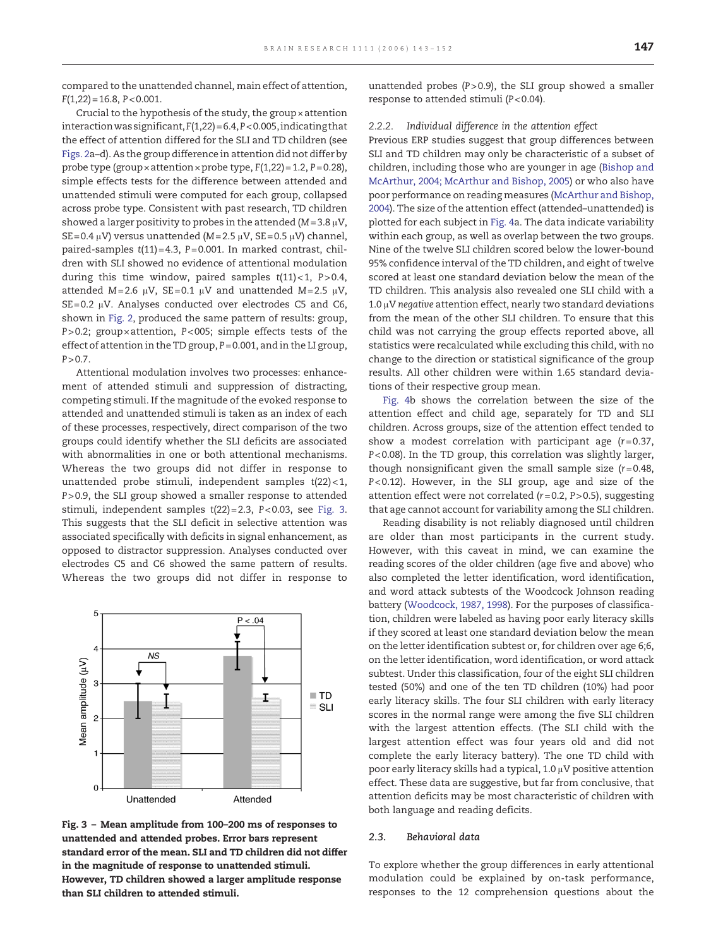compared to the unattended channel, main effect of attention,  $F(1,22) = 16.8$ ,  $P < 0.001$ .

Crucial to the hypothesis of the study, the group× attention interaction was significant,  $F(1,22) = 6.4$ ,  $P < 0.005$ , indicating that the effect of attention differed for the SLI and TD children (see [Figs. 2](#page-3-0)a–d). As the group difference in attention did not differ by probe type (group  $\times$  attention  $\times$  probe type,  $F(1,22)$  = 1.2, P = 0.28), simple effects tests for the difference between attended and unattended stimuli were computed for each group, collapsed across probe type. Consistent with past research, TD children showed a larger positivity to probes in the attended ( $M = 3.8 \mu V$ , SE= $0.4 \mu$ V) versus unattended (M= $2.5 \mu$ V, SE= $0.5 \mu$ V) channel, paired-samples  $t(11)= 4.3$ ,  $P= 0.001$ . In marked contrast, children with SLI showed no evidence of attentional modulation during this time window, paired samples  $t(11) < 1$ , P > 0.4, attended  $M = 2.6 \mu V$ , SE=0.1  $\mu V$  and unattended  $M = 2.5 \mu V$ ,  $SE = 0.2 \mu V$ . Analyses conducted over electrodes C5 and C6, shown in [Fig. 2](#page-3-0), produced the same pattern of results: group, P> 0.2; group × attention, P< 005; simple effects tests of the effect of attention in the TD group, P= 0.001, and in the LI group,  $P > 0.7$ .

Attentional modulation involves two processes: enhancement of attended stimuli and suppression of distracting, competing stimuli. If the magnitude of the evoked response to attended and unattended stimuli is taken as an index of each of these processes, respectively, direct comparison of the two groups could identify whether the SLI deficits are associated with abnormalities in one or both attentional mechanisms. Whereas the two groups did not differ in response to unattended probe stimuli, independent samples t(22) < 1, P> 0.9, the SLI group showed a smaller response to attended stimuli, independent samples t(22)= 2.3, P< 0.03, see Fig. 3. This suggests that the SLI deficit in selective attention was associated specifically with deficits in signal enhancement, as opposed to distractor suppression. Analyses conducted over electrodes C5 and C6 showed the same pattern of results. Whereas the two groups did not differ in response to



Fig. 3 – Mean amplitude from 100–200 ms of responses to unattended and attended probes. Error bars represent standard error of the mean. SLI and TD children did not differ in the magnitude of response to unattended stimuli. However, TD children showed a larger amplitude response than SLI children to attended stimuli.

unattended probes (P>0.9), the SLI group showed a smaller response to attended stimuli (P< 0.04).

#### 2.2.2. Individual difference in the attention effect

Previous ERP studies suggest that group differences between SLI and TD children may only be characteristic of a subset of children, including those who are younger in age [\(Bishop and](#page-8-0) [McArthur, 2004; McArthur and Bishop, 2005](#page-8-0)) or who also have poor performance on reading measures [\(McArthur and Bishop,](#page-8-0) [2004](#page-8-0)). The size of the attention effect (attended–unattended) is plotted for each subject in [Fig. 4a](#page-5-0). The data indicate variability within each group, as well as overlap between the two groups. Nine of the twelve SLI children scored below the lower-bound 95% confidence interval of the TD children, and eight of twelve scored at least one standard deviation below the mean of the TD children. This analysis also revealed one SLI child with a  $1.0 \mu$ V negative attention effect, nearly two standard deviations from the mean of the other SLI children. To ensure that this child was not carrying the group effects reported above, all statistics were recalculated while excluding this child, with no change to the direction or statistical significance of the group results. All other children were within 1.65 standard deviations of their respective group mean.

[Fig. 4b](#page-5-0) shows the correlation between the size of the attention effect and child age, separately for TD and SLI children. Across groups, size of the attention effect tended to show a modest correlation with participant age  $(r=0.37,$ P< 0.08). In the TD group, this correlation was slightly larger, though nonsignificant given the small sample size  $(r=0.48,$ P< 0.12). However, in the SLI group, age and size of the attention effect were not correlated  $(r= 0.2, P> 0.5)$ , suggesting that age cannot account for variability among the SLI children.

Reading disability is not reliably diagnosed until children are older than most participants in the current study. However, with this caveat in mind, we can examine the reading scores of the older children (age five and above) who also completed the letter identification, word identification, and word attack subtests of the Woodcock Johnson reading battery [\(Woodcock, 1987, 1998](#page-9-0)). For the purposes of classification, children were labeled as having poor early literacy skills if they scored at least one standard deviation below the mean on the letter identification subtest or, for children over age 6;6, on the letter identification, word identification, or word attack subtest. Under this classification, four of the eight SLI children tested (50%) and one of the ten TD children (10%) had poor early literacy skills. The four SLI children with early literacy scores in the normal range were among the five SLI children with the largest attention effects. (The SLI child with the largest attention effect was four years old and did not complete the early literacy battery). The one TD child with poor early literacy skills had a typical, 1.0 μV positive attention effect. These data are suggestive, but far from conclusive, that attention deficits may be most characteristic of children with both language and reading deficits.

#### 2.3. Behavioral data

To explore whether the group differences in early attentional modulation could be explained by on-task performance, responses to the 12 comprehension questions about the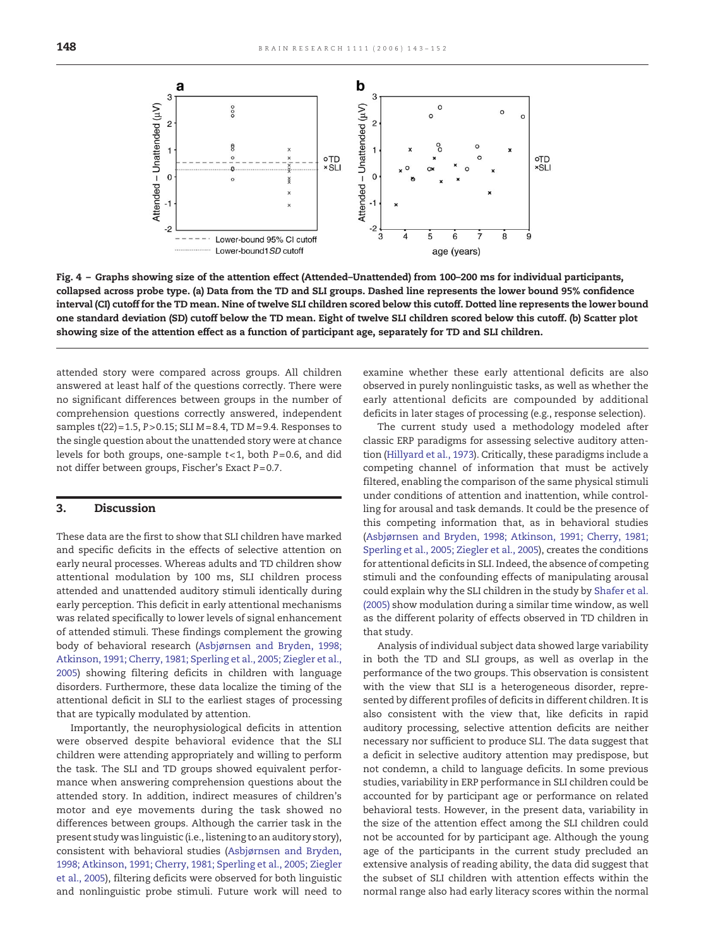<span id="page-5-0"></span>

Fig. 4 – Graphs showing size of the attention effect (Attended–Unattended) from 100–200 ms for individual participants, collapsed across probe type. (a) Data from the TD and SLI groups. Dashed line represents the lower bound 95% confidence interval (CI) cutoff for the TD mean. Nine of twelve SLI children scored below this cutoff. Dotted line represents the lower bound one standard deviation (SD) cutoff below the TD mean. Eight of twelve SLI children scored below this cutoff. (b) Scatter plot showing size of the attention effect as a function of participant age, separately for TD and SLI children.

attended story were compared across groups. All children answered at least half of the questions correctly. There were no significant differences between groups in the number of comprehension questions correctly answered, independent samples  $t(22)$  = 1.5, P > 0.15; SLI M = 8.4, TD M = 9.4. Responses to the single question about the unattended story were at chance levels for both groups, one-sample  $t < 1$ , both  $P = 0.6$ , and did not differ between groups, Fischer's Exact P=0.7.

#### 3. Discussion

These data are the first to show that SLI children have marked and specific deficits in the effects of selective attention on early neural processes. Whereas adults and TD children show attentional modulation by 100 ms, SLI children process attended and unattended auditory stimuli identically during early perception. This deficit in early attentional mechanisms was related specifically to lower levels of signal enhancement of attended stimuli. These findings complement the growing body of behavioral research [\(Asbjørnsen and Bryden, 1998;](#page-8-0) [Atkinson, 1991; Cherry, 1981; Sperling et al., 2005; Ziegler et al.,](#page-8-0) [2005\)](#page-8-0) showing filtering deficits in children with language disorders. Furthermore, these data localize the timing of the attentional deficit in SLI to the earliest stages of processing that are typically modulated by attention.

Importantly, the neurophysiological deficits in attention were observed despite behavioral evidence that the SLI children were attending appropriately and willing to perform the task. The SLI and TD groups showed equivalent performance when answering comprehension questions about the attended story. In addition, indirect measures of children's motor and eye movements during the task showed no differences between groups. Although the carrier task in the present study was linguistic (i.e., listening to an auditory story), consistent with behavioral studies ([Asbjørnsen and Bryden,](#page-8-0) [1998; Atkinson, 1991; Cherry, 1981; Sperling et al., 2005; Ziegler](#page-8-0) [et al., 2005](#page-8-0)), filtering deficits were observed for both linguistic and nonlinguistic probe stimuli. Future work will need to

examine whether these early attentional deficits are also observed in purely nonlinguistic tasks, as well as whether the early attentional deficits are compounded by additional deficits in later stages of processing (e.g., response selection).

The current study used a methodology modeled after classic ERP paradigms for assessing selective auditory attention [\(Hillyard et al., 1973\)](#page-8-0). Critically, these paradigms include a competing channel of information that must be actively filtered, enabling the comparison of the same physical stimuli under conditions of attention and inattention, while controlling for arousal and task demands. It could be the presence of this competing information that, as in behavioral studies ([Asbjørnsen and Bryden, 1998; Atkinson, 1991; Cherry, 1981;](#page-8-0) [Sperling et al., 2005; Ziegler et al., 2005](#page-8-0)), creates the conditions for attentional deficits in SLI. Indeed, the absence of competing stimuli and the confounding effects of manipulating arousal could explain why the SLI children in the study by [Shafer et al.](#page-8-0) [\(2005\)](#page-8-0) show modulation during a similar time window, as well as the different polarity of effects observed in TD children in that study.

Analysis of individual subject data showed large variability in both the TD and SLI groups, as well as overlap in the performance of the two groups. This observation is consistent with the view that SLI is a heterogeneous disorder, represented by different profiles of deficits in different children. It is also consistent with the view that, like deficits in rapid auditory processing, selective attention deficits are neither necessary nor sufficient to produce SLI. The data suggest that a deficit in selective auditory attention may predispose, but not condemn, a child to language deficits. In some previous studies, variability in ERP performance in SLI children could be accounted for by participant age or performance on related behavioral tests. However, in the present data, variability in the size of the attention effect among the SLI children could not be accounted for by participant age. Although the young age of the participants in the current study precluded an extensive analysis of reading ability, the data did suggest that the subset of SLI children with attention effects within the normal range also had early literacy scores within the normal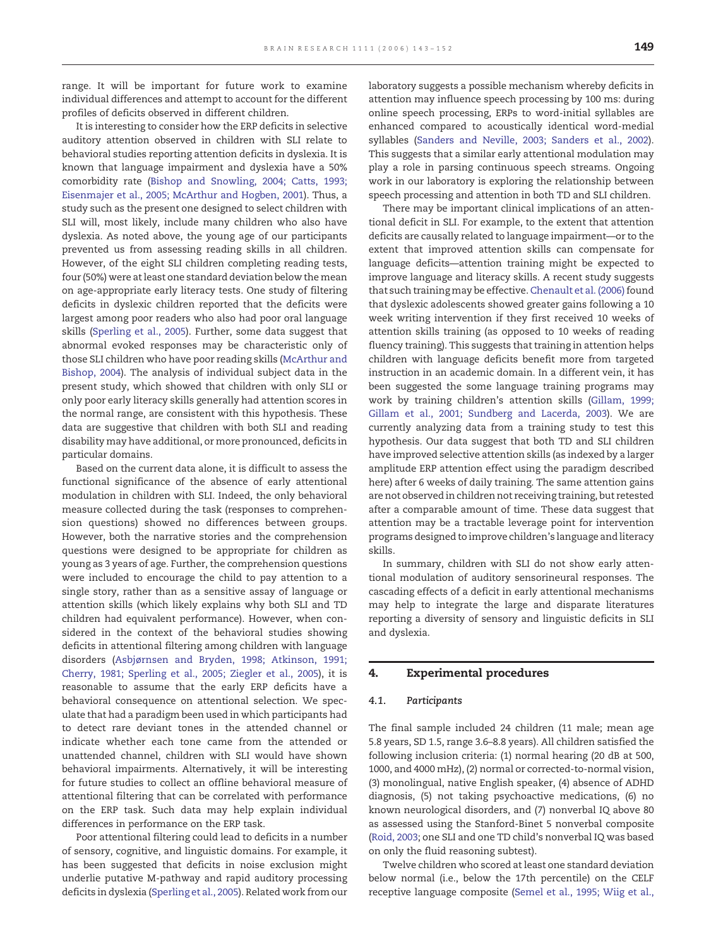range. It will be important for future work to examine individual differences and attempt to account for the different profiles of deficits observed in different children.

It is interesting to consider how the ERP deficits in selective auditory attention observed in children with SLI relate to behavioral studies reporting attention deficits in dyslexia. It is known that language impairment and dyslexia have a 50% comorbidity rate [\(Bishop and Snowling, 2004; Catts, 1993;](#page-8-0) [Eisenmajer et al., 2005; McArthur and Hogben, 2001](#page-8-0)). Thus, a study such as the present one designed to select children with SLI will, most likely, include many children who also have dyslexia. As noted above, the young age of our participants prevented us from assessing reading skills in all children. However, of the eight SLI children completing reading tests, four (50%) were at least one standard deviation below the mean on age-appropriate early literacy tests. One study of filtering deficits in dyslexic children reported that the deficits were largest among poor readers who also had poor oral language skills ([Sperling et al., 2005\)](#page-8-0). Further, some data suggest that abnormal evoked responses may be characteristic only of those SLI children who have poor reading skills [\(McArthur and](#page-8-0) [Bishop, 2004](#page-8-0)). The analysis of individual subject data in the present study, which showed that children with only SLI or only poor early literacy skills generally had attention scores in the normal range, are consistent with this hypothesis. These data are suggestive that children with both SLI and reading disability may have additional, or more pronounced, deficits in particular domains.

Based on the current data alone, it is difficult to assess the functional significance of the absence of early attentional modulation in children with SLI. Indeed, the only behavioral measure collected during the task (responses to comprehension questions) showed no differences between groups. However, both the narrative stories and the comprehension questions were designed to be appropriate for children as young as 3 years of age. Further, the comprehension questions were included to encourage the child to pay attention to a single story, rather than as a sensitive assay of language or attention skills (which likely explains why both SLI and TD children had equivalent performance). However, when considered in the context of the behavioral studies showing deficits in attentional filtering among children with language disorders [\(Asbjørnsen and Bryden, 1998; Atkinson, 1991;](#page-8-0) [Cherry, 1981; Sperling et al., 2005; Ziegler et al., 2005\)](#page-8-0), it is reasonable to assume that the early ERP deficits have a behavioral consequence on attentional selection. We speculate that had a paradigm been used in which participants had to detect rare deviant tones in the attended channel or indicate whether each tone came from the attended or unattended channel, children with SLI would have shown behavioral impairments. Alternatively, it will be interesting for future studies to collect an offline behavioral measure of attentional filtering that can be correlated with performance on the ERP task. Such data may help explain individual differences in performance on the ERP task.

Poor attentional filtering could lead to deficits in a number of sensory, cognitive, and linguistic domains. For example, it has been suggested that deficits in noise exclusion might underlie putative M-pathway and rapid auditory processing deficits in dyslexia ([Sperling et al., 2005\)](#page-8-0). Related work from our

laboratory suggests a possible mechanism whereby deficits in attention may influence speech processing by 100 ms: during online speech processing, ERPs to word-initial syllables are enhanced compared to acoustically identical word-medial syllables [\(Sanders and Neville, 2003; Sanders et al., 2002](#page-8-0)). This suggests that a similar early attentional modulation may play a role in parsing continuous speech streams. Ongoing work in our laboratory is exploring the relationship between speech processing and attention in both TD and SLI children.

There may be important clinical implications of an attentional deficit in SLI. For example, to the extent that attention deficits are causally related to language impairment—or to the extent that improved attention skills can compensate for language deficits—attention training might be expected to improve language and literacy skills. A recent study suggests that such training may be effective. [Chenault et al. \(2006\)](#page-8-0) found that dyslexic adolescents showed greater gains following a 10 week writing intervention if they first received 10 weeks of attention skills training (as opposed to 10 weeks of reading fluency training). This suggests that training in attention helps children with language deficits benefit more from targeted instruction in an academic domain. In a different vein, it has been suggested the some language training programs may work by training children's attention skills [\(Gillam, 1999;](#page-8-0) [Gillam et al., 2001; Sundberg and Lacerda, 2003\)](#page-8-0). We are currently analyzing data from a training study to test this hypothesis. Our data suggest that both TD and SLI children have improved selective attention skills (as indexed by a larger amplitude ERP attention effect using the paradigm described here) after 6 weeks of daily training. The same attention gains are not observed in children not receiving training, but retested after a comparable amount of time. These data suggest that attention may be a tractable leverage point for intervention programs designed to improve children's language and literacy skills.

In summary, children with SLI do not show early attentional modulation of auditory sensorineural responses. The cascading effects of a deficit in early attentional mechanisms may help to integrate the large and disparate literatures reporting a diversity of sensory and linguistic deficits in SLI and dyslexia.

#### 4. Experimental procedures

#### 4.1. Participants

The final sample included 24 children (11 male; mean age 5.8 years, SD 1.5, range 3.6–8.8 years). All children satisfied the following inclusion criteria: (1) normal hearing (20 dB at 500, 1000, and 4000 mHz), (2) normal or corrected-to-normal vision, (3) monolingual, native English speaker, (4) absence of ADHD diagnosis, (5) not taking psychoactive medications, (6) no known neurological disorders, and (7) nonverbal IQ above 80 as assessed using the Stanford-Binet 5 nonverbal composite [\(Roid, 2003](#page-8-0); one SLI and one TD child's nonverbal IQ was based on only the fluid reasoning subtest).

Twelve children who scored at least one standard deviation below normal (i.e., below the 17th percentile) on the CELF receptive language composite [\(Semel et al., 1995; Wiig et al.,](#page-8-0)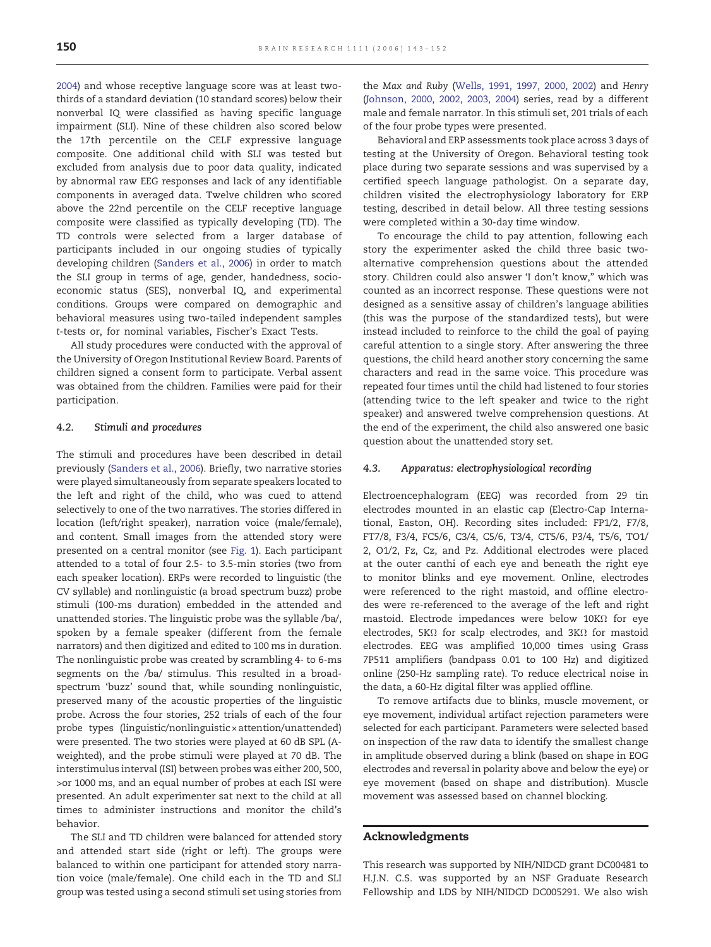[2004\)](#page-8-0) and whose receptive language score was at least twothirds of a standard deviation (10 standard scores) below their nonverbal IQ were classified as having specific language impairment (SLI). Nine of these children also scored below the 17th percentile on the CELF expressive language composite. One additional child with SLI was tested but excluded from analysis due to poor data quality, indicated by abnormal raw EEG responses and lack of any identifiable components in averaged data. Twelve children who scored above the 22nd percentile on the CELF receptive language composite were classified as typically developing (TD). The TD controls were selected from a larger database of participants included in our ongoing studies of typically developing children [\(Sanders et al., 2006](#page-8-0)) in order to match the SLI group in terms of age, gender, handedness, socioeconomic status (SES), nonverbal IQ, and experimental conditions. Groups were compared on demographic and behavioral measures using two-tailed independent samples t-tests or, for nominal variables, Fischer's Exact Tests.

All study procedures were conducted with the approval of the University of Oregon Institutional Review Board. Parents of children signed a consent form to participate. Verbal assent was obtained from the children. Families were paid for their participation.

#### 4.2. Stimuli and procedures

The stimuli and procedures have been described in detail previously ([Sanders et al., 2006](#page-8-0)). Briefly, two narrative stories were played simultaneously from separate speakers located to the left and right of the child, who was cued to attend selectively to one of the two narratives. The stories differed in location (left/right speaker), narration voice (male/female), and content. Small images from the attended story were presented on a central monitor (see [Fig. 1](#page-2-0)). Each participant attended to a total of four 2.5- to 3.5-min stories (two from each speaker location). ERPs were recorded to linguistic (the CV syllable) and nonlinguistic (a broad spectrum buzz) probe stimuli (100-ms duration) embedded in the attended and unattended stories. The linguistic probe was the syllable /ba/, spoken by a female speaker (different from the female narrators) and then digitized and edited to 100 ms in duration. The nonlinguistic probe was created by scrambling 4- to 6-ms segments on the /ba/ stimulus. This resulted in a broadspectrum 'buzz' sound that, while sounding nonlinguistic, preserved many of the acoustic properties of the linguistic probe. Across the four stories, 252 trials of each of the four probe types (linguistic/nonlinguistic × attention/unattended) were presented. The two stories were played at 60 dB SPL (Aweighted), and the probe stimuli were played at 70 dB. The interstimulus interval (ISI) between probes was either 200, 500, >or 1000 ms, and an equal number of probes at each ISI were presented. An adult experimenter sat next to the child at all times to administer instructions and monitor the child's behavior.

The SLI and TD children were balanced for attended story and attended start side (right or left). The groups were balanced to within one participant for attended story narration voice (male/female). One child each in the TD and SLI group was tested using a second stimuli set using stories from

the Max and Ruby ([Wells, 1991, 1997, 2000, 2002](#page-9-0)) and Henry ([Johnson, 2000, 2002, 2003, 2004\)](#page-8-0) series, read by a different male and female narrator. In this stimuli set, 201 trials of each of the four probe types were presented.

Behavioral and ERP assessments took place across 3 days of testing at the University of Oregon. Behavioral testing took place during two separate sessions and was supervised by a certified speech language pathologist. On a separate day, children visited the electrophysiology laboratory for ERP testing, described in detail below. All three testing sessions were completed within a 30-day time window.

To encourage the child to pay attention, following each story the experimenter asked the child three basic twoalternative comprehension questions about the attended story. Children could also answer 'I don't know," which was counted as an incorrect response. These questions were not designed as a sensitive assay of children's language abilities (this was the purpose of the standardized tests), but were instead included to reinforce to the child the goal of paying careful attention to a single story. After answering the three questions, the child heard another story concerning the same characters and read in the same voice. This procedure was repeated four times until the child had listened to four stories (attending twice to the left speaker and twice to the right speaker) and answered twelve comprehension questions. At the end of the experiment, the child also answered one basic question about the unattended story set.

#### 4.3. Apparatus: electrophysiological recording

Electroencephalogram (EEG) was recorded from 29 tin electrodes mounted in an elastic cap (Electro-Cap International, Easton, OH). Recording sites included: FP1/2, F7/8, FT7/8, F3/4, FC5/6, C3/4, C5/6, T3/4, CT5/6, P3/4, T5/6, TO1/ 2, O1/2, Fz, Cz, and Pz. Additional electrodes were placed at the outer canthi of each eye and beneath the right eye to monitor blinks and eye movement. Online, electrodes were referenced to the right mastoid, and offline electrodes were re-referenced to the average of the left and right mastoid. Electrode impedances were below 10KΩ for eye electrodes, 5KΩ for scalp electrodes, and 3KΩ for mastoid electrodes. EEG was amplified 10,000 times using Grass 7P511 amplifiers (bandpass 0.01 to 100 Hz) and digitized online (250-Hz sampling rate). To reduce electrical noise in the data, a 60-Hz digital filter was applied offline.

To remove artifacts due to blinks, muscle movement, or eye movement, individual artifact rejection parameters were selected for each participant. Parameters were selected based on inspection of the raw data to identify the smallest change in amplitude observed during a blink (based on shape in EOG electrodes and reversal in polarity above and below the eye) or eye movement (based on shape and distribution). Muscle movement was assessed based on channel blocking.

#### Acknowledgments

This research was supported by NIH/NIDCD grant DC00481 to H.J.N. C.S. was supported by an NSF Graduate Research Fellowship and LDS by NIH/NIDCD DC005291. We also wish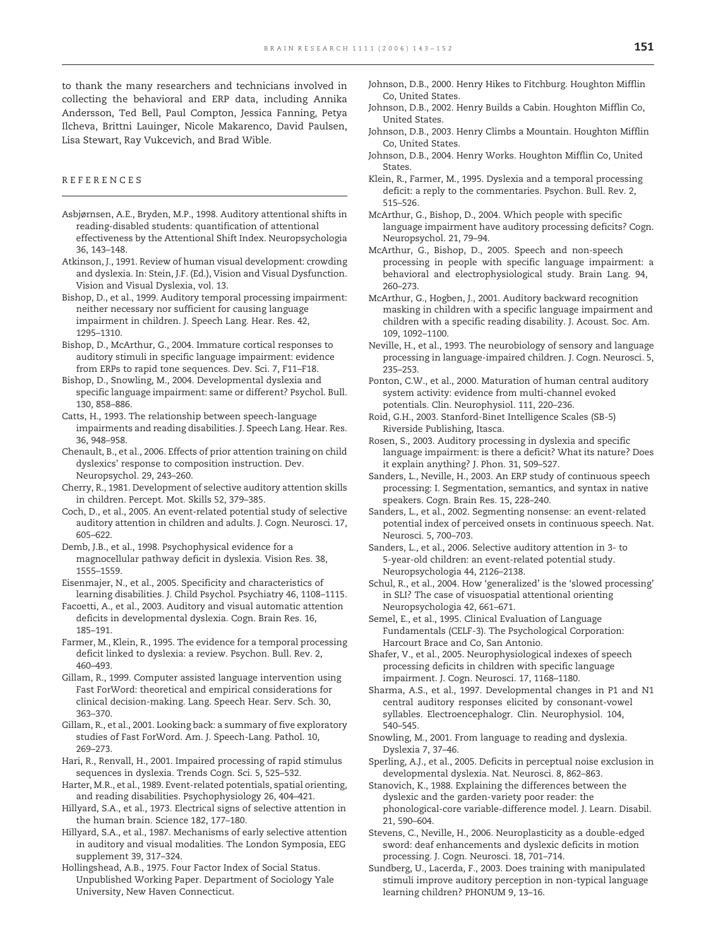<span id="page-8-0"></span>to thank the many researchers and technicians involved in collecting the behavioral and ERP data, including Annika Andersson, Ted Bell, Paul Compton, Jessica Fanning, Petya Ilcheva, Brittni Lauinger, Nicole Makarenco, David Paulsen, Lisa Stewart, Ray Vukcevich, and Brad Wible.

#### REFERENCES

- Asbjørnsen, A.E., Bryden, M.P., 1998. Auditory attentional shifts in reading-disabled students: quantification of attentional effectiveness by the Attentional Shift Index. Neuropsychologia 36, 143–148.
- Atkinson, J., 1991. Review of human visual development: crowding and dyslexia. In: Stein, J.F. (Ed.), Vision and Visual Dysfunction. Vision and Visual Dyslexia, vol. 13.
- Bishop, D., et al., 1999. Auditory temporal processing impairment: neither necessary nor sufficient for causing language impairment in children. J. Speech Lang. Hear. Res. 42, 1295–1310.
- Bishop, D., McArthur, G., 2004. Immature cortical responses to auditory stimuli in specific language impairment: evidence from ERPs to rapid tone sequences. Dev. Sci. 7, F11–F18.
- Bishop, D., Snowling, M., 2004. Developmental dyslexia and specific language impairment: same or different? Psychol. Bull. 130, 858–886.
- Catts, H., 1993. The relationship between speech-language impairments and reading disabilities. J. Speech Lang. Hear. Res. 36, 948–958.
- Chenault, B., et al., 2006. Effects of prior attention training on child dyslexics' response to composition instruction. Dev. Neuropsychol. 29, 243–260.
- Cherry, R., 1981. Development of selective auditory attention skills in children. Percept. Mot. Skills 52, 379–385.
- Coch, D., et al., 2005. An event-related potential study of selective auditory attention in children and adults. J. Cogn. Neurosci. 17, 605–622.
- Demb, J.B., et al., 1998. Psychophysical evidence for a magnocellular pathway deficit in dyslexia. Vision Res. 38, 1555–1559.
- Eisenmajer, N., et al., 2005. Specificity and characteristics of learning disabilities. J. Child Psychol. Psychiatry 46, 1108–1115. Facoetti, A., et al., 2003. Auditory and visual automatic attention
- deficits in developmental dyslexia. Cogn. Brain Res. 16, 185–191.
- Farmer, M., Klein, R., 1995. The evidence for a temporal processing deficit linked to dyslexia: a review. Psychon. Bull. Rev. 2, 460–493.
- Gillam, R., 1999. Computer assisted language intervention using Fast ForWord: theoretical and empirical considerations for clinical decision-making. Lang. Speech Hear. Serv. Sch. 30, 363–370.
- Gillam, R., et al., 2001. Looking back: a summary of five exploratory studies of Fast ForWord. Am. J. Speech-Lang. Pathol. 10, 269–273.
- Hari, R., Renvall, H., 2001. Impaired processing of rapid stimulus sequences in dyslexia. Trends Cogn. Sci. 5, 525–532.
- Harter, M.R., et al., 1989. Event-related potentials, spatial orienting, and reading disabilities. Psychophysiology 26, 404–421.
- Hillyard, S.A., et al., 1973. Electrical signs of selective attention in the human brain. Science 182, 177–180.
- Hillyard, S.A., et al., 1987. Mechanisms of early selective attention in auditory and visual modalities. The London Symposia, EEG supplement 39, 317–324.
- Hollingshead, A.B., 1975. Four Factor Index of Social Status. Unpublished Working Paper. Department of Sociology Yale University, New Haven Connecticut.
- Johnson, D.B., 2000. Henry Hikes to Fitchburg. Houghton Mifflin Co, United States.
- Johnson, D.B., 2002. Henry Builds a Cabin. Houghton Mifflin Co, United States.
- Johnson, D.B., 2003. Henry Climbs a Mountain. Houghton Mifflin Co, United States.
- Johnson, D.B., 2004. Henry Works. Houghton Mifflin Co, United States.
- Klein, R., Farmer, M., 1995. Dyslexia and a temporal processing deficit: a reply to the commentaries. Psychon. Bull. Rev. 2, 515–526.
- McArthur, G., Bishop, D., 2004. Which people with specific language impairment have auditory processing deficits? Cogn. Neuropsychol. 21, 79–94.
- McArthur, G., Bishop, D., 2005. Speech and non-speech processing in people with specific language impairment: a behavioral and electrophysiological study. Brain Lang. 94, 260–273.
- McArthur, G., Hogben, J., 2001. Auditory backward recognition masking in children with a specific language impairment and children with a specific reading disability. J. Acoust. Soc. Am. 109, 1092–1100.
- Neville, H., et al., 1993. The neurobiology of sensory and language processing in language-impaired children. J. Cogn. Neurosci. 5, 235–253.
- Ponton, C.W., et al., 2000. Maturation of human central auditory system activity: evidence from multi-channel evoked potentials. Clin. Neurophysiol. 111, 220–236.
- Roid, G.H., 2003. Stanford-Binet Intelligence Scales (SB-5) Riverside Publishing, Itasca.
- Rosen, S., 2003. Auditory processing in dyslexia and specific language impairment: is there a deficit? What its nature? Does it explain anything? J. Phon. 31, 509–527.
- Sanders, L., Neville, H., 2003. An ERP study of continuous speech processing: I. Segmentation, semantics, and syntax in native speakers. Cogn. Brain Res. 15, 228–240.
- Sanders, L., et al., 2002. Segmenting nonsense: an event-related potential index of perceived onsets in continuous speech. Nat. Neurosci. 5, 700–703.

Sanders, L., et al., 2006. Selective auditory attention in 3- to 5-year-old children: an event-related potential study. Neuropsychologia 44, 2126–2138.

- Schul, R., et al., 2004. How 'generalized' is the 'slowed processing' in SLI? The case of visuospatial attentional orienting Neuropsychologia 42, 661–671.
- Semel, E., et al., 1995. Clinical Evaluation of Language Fundamentals (CELF-3). The Psychological Corporation: Harcourt Brace and Co, San Antonio.
- Shafer, V., et al., 2005. Neurophysiological indexes of speech processing deficits in children with specific language impairment. J. Cogn. Neurosci. 17, 1168–1180.
- Sharma, A.S., et al., 1997. Developmental changes in P1 and N1 central auditory responses elicited by consonant-vowel syllables. Electroencephalogr. Clin. Neurophysiol. 104, 540–545.
- Snowling, M., 2001. From language to reading and dyslexia. Dyslexia 7, 37–46.
- Sperling, A.J., et al., 2005. Deficits in perceptual noise exclusion in developmental dyslexia. Nat. Neurosci. 8, 862–863.
- Stanovich, K., 1988. Explaining the differences between the dyslexic and the garden-variety poor reader: the phonological-core variable-difference model. J. Learn. Disabil. 21, 590–604.
- Stevens, C., Neville, H., 2006. Neuroplasticity as a double-edged sword: deaf enhancements and dyslexic deficits in motion processing. J. Cogn. Neurosci. 18, 701–714.
- Sundberg, U., Lacerda, F., 2003. Does training with manipulated stimuli improve auditory perception in non-typical language learning children? PHONUM 9, 13–16.